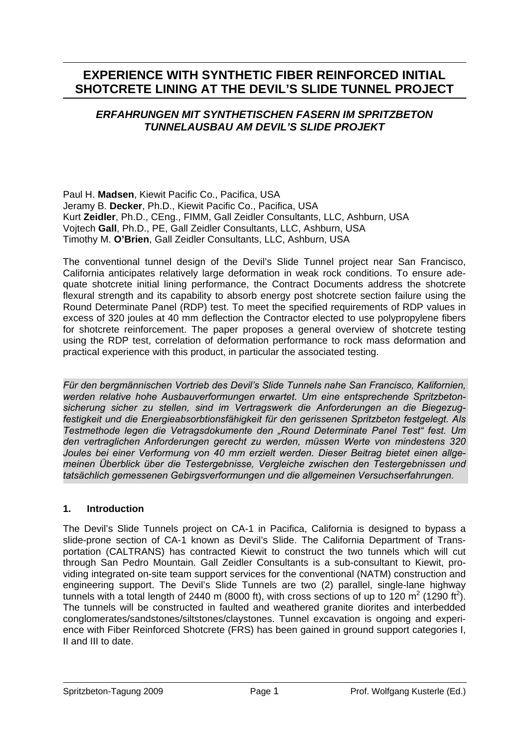# **EXPERIENCE WITH SYNTHETIC FIBER REINFORCED INITIAL SHOTCRETE LINING AT THE DEVIL'S SLIDE TUNNEL PROJECT**

# *ERFAHRUNGEN MIT SYNTHETISCHEN FASERN IM SPRITZBETON TUNNELAUSBAU AM DEVIL'S SLIDE PROJEKT*

Paul H. **Madsen**, Kiewit Pacific Co., Pacifica, USA Jeramy B. **Decker**, Ph.D., Kiewit Pacific Co., Pacifica, USA Kurt **Zeidler**, Ph.D., CEng., FIMM, Gall Zeidler Consultants, LLC, Ashburn, USA Vojtech **Gall**, Ph.D., PE, Gall Zeidler Consultants, LLC, Ashburn, USA Timothy M. **O'Brien**, Gall Zeidler Consultants, LLC, Ashburn, USA

The conventional tunnel design of the Devil's Slide Tunnel project near San Francisco, California anticipates relatively large deformation in weak rock conditions. To ensure adequate shotcrete initial lining performance, the Contract Documents address the shotcrete flexural strength and its capability to absorb energy post shotcrete section failure using the Round Determinate Panel (RDP) test. To meet the specified requirements of RDP values in excess of 320 joules at 40 mm deflection the Contractor elected to use polypropylene fibers for shotcrete reinforcement. The paper proposes a general overview of shotcrete testing using the RDP test, correlation of deformation performance to rock mass deformation and practical experience with this product, in particular the associated testing.

*Für den bergmännischen Vortrieb des Devil's Slide Tunnels nahe San Francisco, Kalifornien, werden relative hohe Ausbauverformungen erwartet. Um eine entsprechende Spritzbetonsicherung sicher zu stellen, sind im Vertragswerk die Anforderungen an die Biegezugfestigkeit und die Energieabsorbtionsfähigkeit für den gerissenen Spritzbeton festgelegt. Als Testmethode legen die Vetragsdokumente den "Round Determinate Panel Test" fest. Um den vertraglichen Anforderungen gerecht zu werden, müssen Werte von mindestens 320 Joules bei einer Verformung von 40 mm erzielt werden. Dieser Beitrag bietet einen allgemeinen Überblick über die Testergebnisse, Vergleiche zwischen den Testergebnissen und tatsächlich gemessenen Gebirgsverformungen und die allgemeinen Versuchserfahrungen.* 

# **1. Introduction**

The Devil's Slide Tunnels project on CA-1 in Pacifica, California is designed to bypass a slide-prone section of CA-1 known as Devil's Slide. The California Department of Transportation (CALTRANS) has contracted Kiewit to construct the two tunnels which will cut through San Pedro Mountain. Gall Zeidler Consultants is a sub-consultant to Kiewit, providing integrated on-site team support services for the conventional (NATM) construction and engineering support. The Devil's Slide Tunnels are two (2) parallel, single-lane highway tunnels with a total length of 2440 m (8000 ft), with cross sections of up to 120 m<sup>2</sup> (1290 ft<sup>2</sup>). The tunnels will be constructed in faulted and weathered granite diorites and interbedded conglomerates/sandstones/siltstones/claystones. Tunnel excavation is ongoing and experience with Fiber Reinforced Shotcrete (FRS) has been gained in ground support categories I, II and III to date.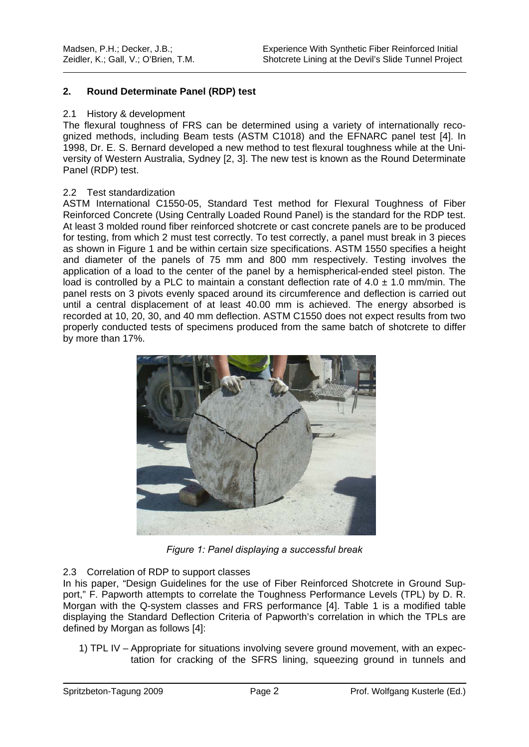### **2. Round Determinate Panel (RDP) test**

#### 2.1 History & development

The flexural toughness of FRS can be determined using a variety of internationally recognized methods, including Beam tests (ASTM C1018) and the EFNARC panel test [4]. In 1998, Dr. E. S. Bernard developed a new method to test flexural toughness while at the University of Western Australia, Sydney [2, 3]. The new test is known as the Round Determinate Panel (RDP) test.

### 2.2 Test standardization

ASTM International C1550-05, Standard Test method for Flexural Toughness of Fiber Reinforced Concrete (Using Centrally Loaded Round Panel) is the standard for the RDP test. At least 3 molded round fiber reinforced shotcrete or cast concrete panels are to be produced for testing, from which 2 must test correctly. To test correctly, a panel must break in 3 pieces as shown in Figure 1 and be within certain size specifications. ASTM 1550 specifies a height and diameter of the panels of 75 mm and 800 mm respectively. Testing involves the application of a load to the center of the panel by a hemispherical-ended steel piston. The load is controlled by a PLC to maintain a constant deflection rate of  $4.0 \pm 1.0$  mm/min. The panel rests on 3 pivots evenly spaced around its circumference and deflection is carried out until a central displacement of at least 40.00 mm is achieved. The energy absorbed is recorded at 10, 20, 30, and 40 mm deflection. ASTM C1550 does not expect results from two properly conducted tests of specimens produced from the same batch of shotcrete to differ by more than 17%.



*Figure 1: Panel displaying a successful break* 

### 2.3 Correlation of RDP to support classes

In his paper, "Design Guidelines for the use of Fiber Reinforced Shotcrete in Ground Support," F. Papworth attempts to correlate the Toughness Performance Levels (TPL) by D. R. Morgan with the Q-system classes and FRS performance [4]. Table 1 is a modified table displaying the Standard Deflection Criteria of Papworth's correlation in which the TPLs are defined by Morgan as follows [4]:

1) TPL IV – Appropriate for situations involving severe ground movement, with an expectation for cracking of the SFRS lining, squeezing ground in tunnels and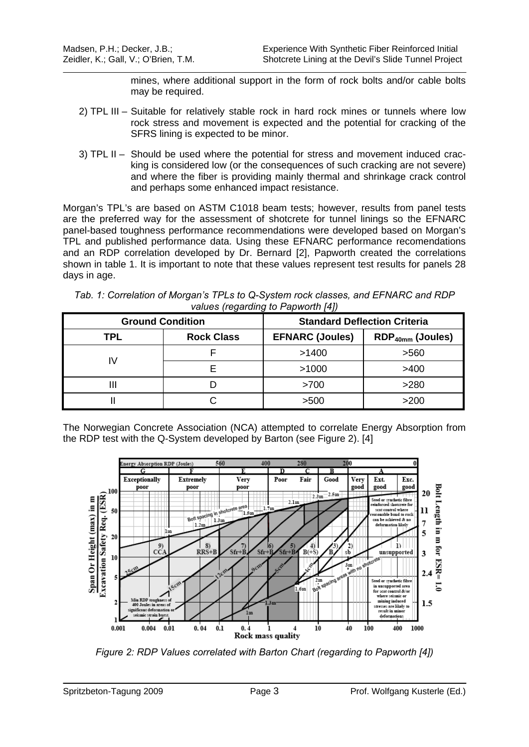mines, where additional support in the form of rock bolts and/or cable bolts may be required.

- 2) TPL III Suitable for relatively stable rock in hard rock mines or tunnels where low rock stress and movement is expected and the potential for cracking of the SFRS lining is expected to be minor.
- 3) TPL II Should be used where the potential for stress and movement induced cracking is considered low (or the consequences of such cracking are not severe) and where the fiber is providing mainly thermal and shrinkage crack control and perhaps some enhanced impact resistance.

Morgan's TPL's are based on ASTM C1018 beam tests; however, results from panel tests are the preferred way for the assessment of shotcrete for tunnel linings so the EFNARC panel-based toughness performance recommendations were developed based on Morgan's TPL and published performance data. Using these EFNARC performance recomendations and an RDP correlation developed by Dr. Bernard [2], Papworth created the correlations shown in table 1. It is important to note that these values represent test results for panels 28 days in age.

| Tab. 1: Correlation of Morgan's TPLs to Q-System rock classes, and EFNARC and RDP |  |
|-----------------------------------------------------------------------------------|--|
| values (regarding to Papworth [4])                                                |  |

| <b>Ground Condition</b> |                   | <b>Standard Deflection Criteria</b> |                    |
|-------------------------|-------------------|-------------------------------------|--------------------|
| TPL                     | <b>Rock Class</b> | <b>EFNARC (Joules)</b>              | $RDP40mm$ (Joules) |
| I٧                      |                   | >1400                               | >560               |
|                         |                   | >1000                               | >400               |
| Ш                       |                   | >700                                | >280               |
|                         |                   | >500                                | >200               |

The Norwegian Concrete Association (NCA) attempted to correlate Energy Absorption from the RDP test with the Q-System developed by Barton (see Figure 2). [4]



*Figure 2: RDP Values correlated with Barton Chart (regarding to Papworth [4])*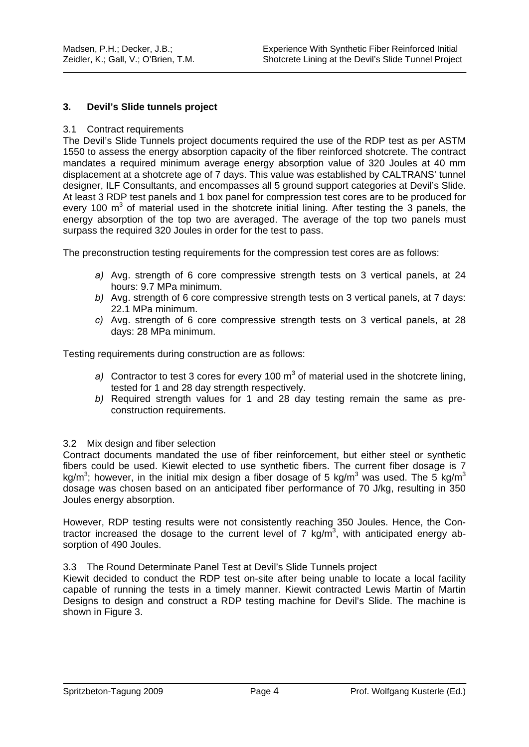### **3. Devil's Slide tunnels project**

#### 3.1 Contract requirements

The Devil's Slide Tunnels project documents required the use of the RDP test as per ASTM 1550 to assess the energy absorption capacity of the fiber reinforced shotcrete. The contract mandates a required minimum average energy absorption value of 320 Joules at 40 mm displacement at a shotcrete age of 7 days. This value was established by CALTRANS' tunnel designer, ILF Consultants, and encompasses all 5 ground support categories at Devil's Slide. At least 3 RDP test panels and 1 box panel for compression test cores are to be produced for every 100  $m<sup>3</sup>$  of material used in the shotcrete initial lining. After testing the 3 panels, the energy absorption of the top two are averaged. The average of the top two panels must surpass the required 320 Joules in order for the test to pass.

The preconstruction testing requirements for the compression test cores are as follows:

- *a)* Avg. strength of 6 core compressive strength tests on 3 vertical panels, at 24 hours: 9.7 MPa minimum.
- *b)* Avg. strength of 6 core compressive strength tests on 3 vertical panels, at 7 days: 22.1 MPa minimum.
- *c)* Avg. strength of 6 core compressive strength tests on 3 vertical panels, at 28 days: 28 MPa minimum.

Testing requirements during construction are as follows:

- a) Contractor to test 3 cores for every 100  $m^3$  of material used in the shotcrete lining, tested for 1 and 28 day strength respectively.
- *b)* Required strength values for 1 and 28 day testing remain the same as preconstruction requirements.

### 3.2 Mix design and fiber selection

Contract documents mandated the use of fiber reinforcement, but either steel or synthetic fibers could be used. Kiewit elected to use synthetic fibers. The current fiber dosage is 7 kg/m<sup>3</sup>; however, in the initial mix design a fiber dosage of 5 kg/m<sup>3</sup> was used. The 5 kg/m<sup>3</sup> dosage was chosen based on an anticipated fiber performance of 70 J/kg, resulting in 350 Joules energy absorption.

However, RDP testing results were not consistently reaching 350 Joules. Hence, the Contractor increased the dosage to the current level of 7 kg/m<sup>3</sup>, with anticipated energy absorption of 490 Joules.

#### 3.3 The Round Determinate Panel Test at Devil's Slide Tunnels project

Kiewit decided to conduct the RDP test on-site after being unable to locate a local facility capable of running the tests in a timely manner. Kiewit contracted Lewis Martin of Martin Designs to design and construct a RDP testing machine for Devil's Slide. The machine is shown in Figure 3.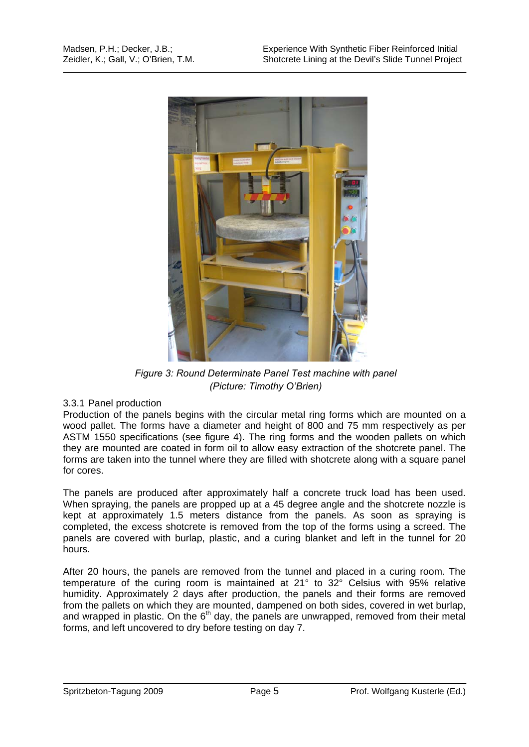

*Figure 3: Round Determinate Panel Test machine with panel (Picture: Timothy O'Brien)* 

### 3.3.1 Panel production

Production of the panels begins with the circular metal ring forms which are mounted on a wood pallet. The forms have a diameter and height of 800 and 75 mm respectively as per ASTM 1550 specifications (see figure 4). The ring forms and the wooden pallets on which they are mounted are coated in form oil to allow easy extraction of the shotcrete panel. The forms are taken into the tunnel where they are filled with shotcrete along with a square panel for cores.

The panels are produced after approximately half a concrete truck load has been used. When spraying, the panels are propped up at a 45 degree angle and the shotcrete nozzle is kept at approximately 1.5 meters distance from the panels. As soon as spraying is completed, the excess shotcrete is removed from the top of the forms using a screed. The panels are covered with burlap, plastic, and a curing blanket and left in the tunnel for 20 hours.

After 20 hours, the panels are removed from the tunnel and placed in a curing room. The temperature of the curing room is maintained at 21° to 32° Celsius with 95% relative humidity. Approximately 2 days after production, the panels and their forms are removed from the pallets on which they are mounted, dampened on both sides, covered in wet burlap, and wrapped in plastic. On the  $6<sup>th</sup>$  day, the panels are unwrapped, removed from their metal forms, and left uncovered to dry before testing on day 7.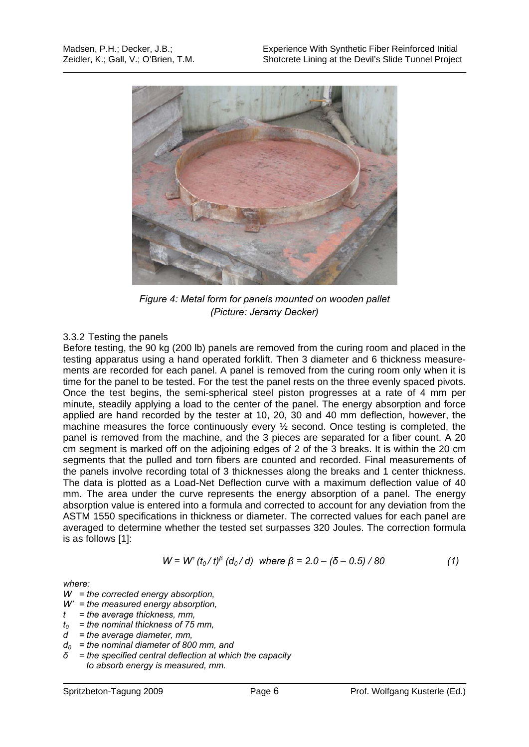

*Figure 4: Metal form for panels mounted on wooden pallet (Picture: Jeramy Decker)* 

# 3.3.2 Testing the panels

Before testing, the 90 kg (200 lb) panels are removed from the curing room and placed in the testing apparatus using a hand operated forklift. Then 3 diameter and 6 thickness measurements are recorded for each panel. A panel is removed from the curing room only when it is time for the panel to be tested. For the test the panel rests on the three evenly spaced pivots. Once the test begins, the semi-spherical steel piston progresses at a rate of 4 mm per minute, steadily applying a load to the center of the panel. The energy absorption and force applied are hand recorded by the tester at 10, 20, 30 and 40 mm deflection, however, the machine measures the force continuously every ½ second. Once testing is completed, the panel is removed from the machine, and the 3 pieces are separated for a fiber count. A 20 cm segment is marked off on the adjoining edges of 2 of the 3 breaks. It is within the 20 cm segments that the pulled and torn fibers are counted and recorded. Final measurements of the panels involve recording total of 3 thicknesses along the breaks and 1 center thickness. The data is plotted as a Load-Net Deflection curve with a maximum deflection value of 40 mm. The area under the curve represents the energy absorption of a panel. The energy absorption value is entered into a formula and corrected to account for any deviation from the ASTM 1550 specifications in thickness or diameter. The corrected values for each panel are averaged to determine whether the tested set surpasses 320 Joules. The correction formula is as follows [1]:

$$
W = W'(t_0/t)^{\beta} (d_0/d) \text{ where } \beta = 2.0 - (\delta - 0.5)/80 \tag{1}
$$

*where:* 

*W = the corrected energy absorption,* 

- *W' = the measured energy absorption,*
- *t = the average thickness, mm,*
- *t0 = the nominal thickness of 75 mm,*
- *d = the average diameter, mm,*
- *d0 = the nominal diameter of 800 mm, and*
- *δ = the specified central deflection at which the capacity to absorb energy is measured, mm.*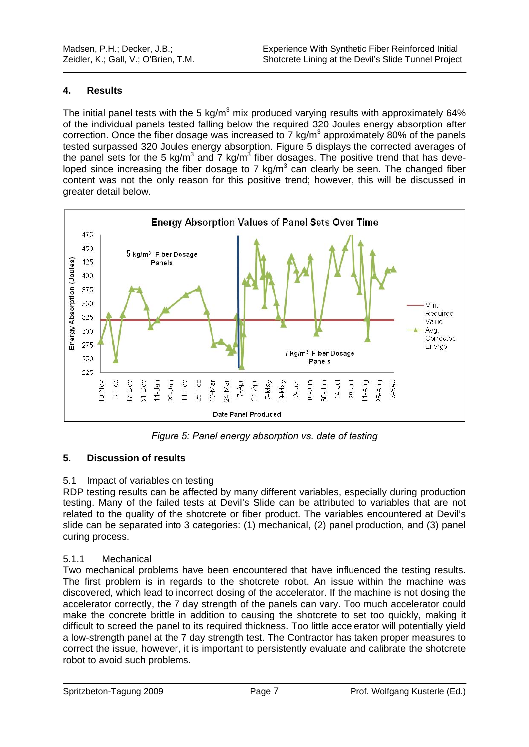### **4. Results**

The initial panel tests with the 5 kg/m<sup>3</sup> mix produced varying results with approximately 64% of the individual panels tested falling below the required 320 Joules energy absorption after correction. Once the fiber dosage was increased to 7  $kg/m<sup>3</sup>$  approximately 80% of the panels tested surpassed 320 Joules energy absorption. Figure 5 displays the corrected averages of the panel sets for the 5 kg/m<sup>3</sup> and 7 kg/m<sup>3</sup> fiber dosages. The positive trend that has developed since increasing the fiber dosage to 7 kg/m<sup>3</sup> can clearly be seen. The changed fiber content was not the only reason for this positive trend; however, this will be discussed in greater detail below.



*Figure 5: Panel energy absorption vs. date of testing*

# **5. Discussion of results**

# 5.1 Impact of variables on testing

RDP testing results can be affected by many different variables, especially during production testing. Many of the failed tests at Devil's Slide can be attributed to variables that are not related to the quality of the shotcrete or fiber product. The variables encountered at Devil's slide can be separated into 3 categories: (1) mechanical, (2) panel production, and (3) panel curing process.

# 5.1.1 Mechanical

Two mechanical problems have been encountered that have influenced the testing results. The first problem is in regards to the shotcrete robot. An issue within the machine was discovered, which lead to incorrect dosing of the accelerator. If the machine is not dosing the accelerator correctly, the 7 day strength of the panels can vary. Too much accelerator could make the concrete brittle in addition to causing the shotcrete to set too quickly, making it difficult to screed the panel to its required thickness. Too little accelerator will potentially yield a low-strength panel at the 7 day strength test. The Contractor has taken proper measures to correct the issue, however, it is important to persistently evaluate and calibrate the shotcrete robot to avoid such problems.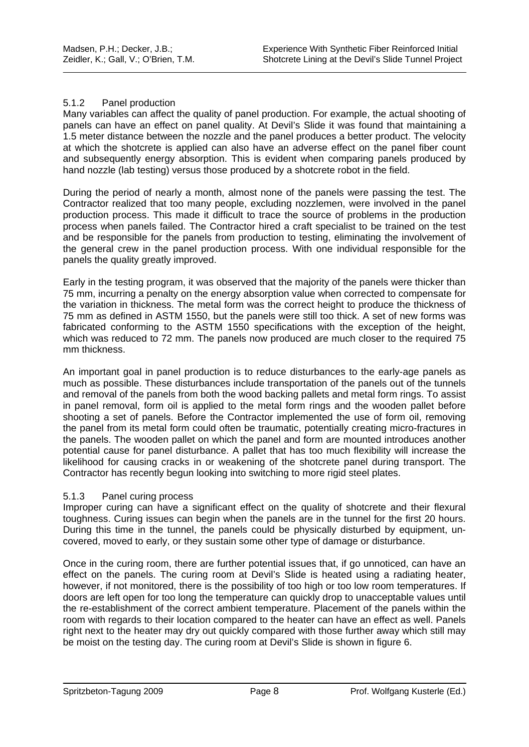#### 5.1.2 Panel production

Many variables can affect the quality of panel production. For example, the actual shooting of panels can have an effect on panel quality. At Devil's Slide it was found that maintaining a 1.5 meter distance between the nozzle and the panel produces a better product. The velocity at which the shotcrete is applied can also have an adverse effect on the panel fiber count and subsequently energy absorption. This is evident when comparing panels produced by hand nozzle (lab testing) versus those produced by a shotcrete robot in the field.

During the period of nearly a month, almost none of the panels were passing the test. The Contractor realized that too many people, excluding nozzlemen, were involved in the panel production process. This made it difficult to trace the source of problems in the production process when panels failed. The Contractor hired a craft specialist to be trained on the test and be responsible for the panels from production to testing, eliminating the involvement of the general crew in the panel production process. With one individual responsible for the panels the quality greatly improved.

Early in the testing program, it was observed that the majority of the panels were thicker than 75 mm, incurring a penalty on the energy absorption value when corrected to compensate for the variation in thickness. The metal form was the correct height to produce the thickness of 75 mm as defined in ASTM 1550, but the panels were still too thick. A set of new forms was fabricated conforming to the ASTM 1550 specifications with the exception of the height, which was reduced to 72 mm. The panels now produced are much closer to the required 75 mm thickness.

An important goal in panel production is to reduce disturbances to the early-age panels as much as possible. These disturbances include transportation of the panels out of the tunnels and removal of the panels from both the wood backing pallets and metal form rings. To assist in panel removal, form oil is applied to the metal form rings and the wooden pallet before shooting a set of panels. Before the Contractor implemented the use of form oil, removing the panel from its metal form could often be traumatic, potentially creating micro-fractures in the panels. The wooden pallet on which the panel and form are mounted introduces another potential cause for panel disturbance. A pallet that has too much flexibility will increase the likelihood for causing cracks in or weakening of the shotcrete panel during transport. The Contractor has recently begun looking into switching to more rigid steel plates.

#### 5.1.3 Panel curing process

Improper curing can have a significant effect on the quality of shotcrete and their flexural toughness. Curing issues can begin when the panels are in the tunnel for the first 20 hours. During this time in the tunnel, the panels could be physically disturbed by equipment, uncovered, moved to early, or they sustain some other type of damage or disturbance.

Once in the curing room, there are further potential issues that, if go unnoticed, can have an effect on the panels. The curing room at Devil's Slide is heated using a radiating heater, however, if not monitored, there is the possibility of too high or too low room temperatures. If doors are left open for too long the temperature can quickly drop to unacceptable values until the re-establishment of the correct ambient temperature. Placement of the panels within the room with regards to their location compared to the heater can have an effect as well. Panels right next to the heater may dry out quickly compared with those further away which still may be moist on the testing day. The curing room at Devil's Slide is shown in figure 6.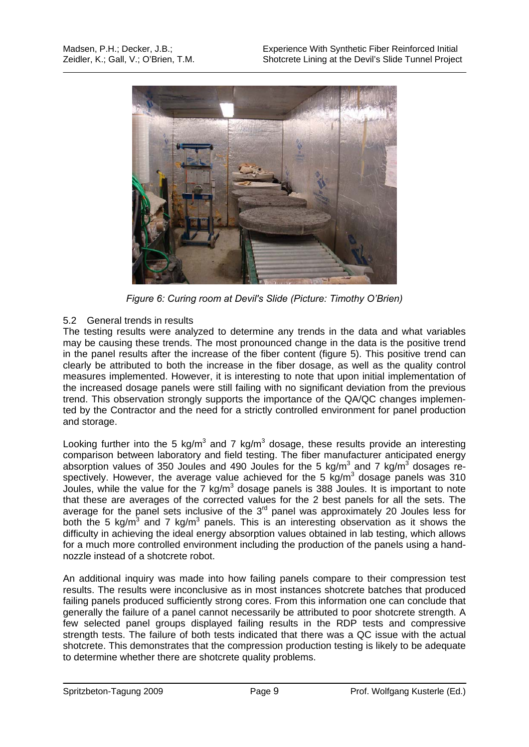

*Figure 6: Curing room at Devil's Slide (Picture: Timothy O'Brien)* 

# 5.2 General trends in results

The testing results were analyzed to determine any trends in the data and what variables may be causing these trends. The most pronounced change in the data is the positive trend in the panel results after the increase of the fiber content (figure 5). This positive trend can clearly be attributed to both the increase in the fiber dosage, as well as the quality control measures implemented. However, it is interesting to note that upon initial implementation of the increased dosage panels were still failing with no significant deviation from the previous trend. This observation strongly supports the importance of the QA/QC changes implemented by the Contractor and the need for a strictly controlled environment for panel production and storage.

Looking further into the 5 kg/m<sup>3</sup> and 7 kg/m<sup>3</sup> dosage, these results provide an interesting comparison between laboratory and field testing. The fiber manufacturer anticipated energy absorption values of 350 Joules and 490 Joules for the 5 kg/m<sup>3</sup> and 7 kg/m<sup>3</sup> dosages respectively. However, the average value achieved for the 5  $kg/m<sup>3</sup>$  dosage panels was 310 Joules, while the value for the  $7 \text{ kg/m}^3$  dosage panels is 388 Joules. It is important to note that these are averages of the corrected values for the 2 best panels for all the sets. The average for the panel sets inclusive of the 3<sup>rd</sup> panel was approximately 20 Joules less for both the 5 kg/m<sup>3</sup> and 7 kg/m<sup>3</sup> panels. This is an interesting observation as it shows the difficulty in achieving the ideal energy absorption values obtained in lab testing, which allows for a much more controlled environment including the production of the panels using a handnozzle instead of a shotcrete robot.

An additional inquiry was made into how failing panels compare to their compression test results. The results were inconclusive as in most instances shotcrete batches that produced failing panels produced sufficiently strong cores. From this information one can conclude that generally the failure of a panel cannot necessarily be attributed to poor shotcrete strength. A few selected panel groups displayed failing results in the RDP tests and compressive strength tests. The failure of both tests indicated that there was a QC issue with the actual shotcrete. This demonstrates that the compression production testing is likely to be adequate to determine whether there are shotcrete quality problems.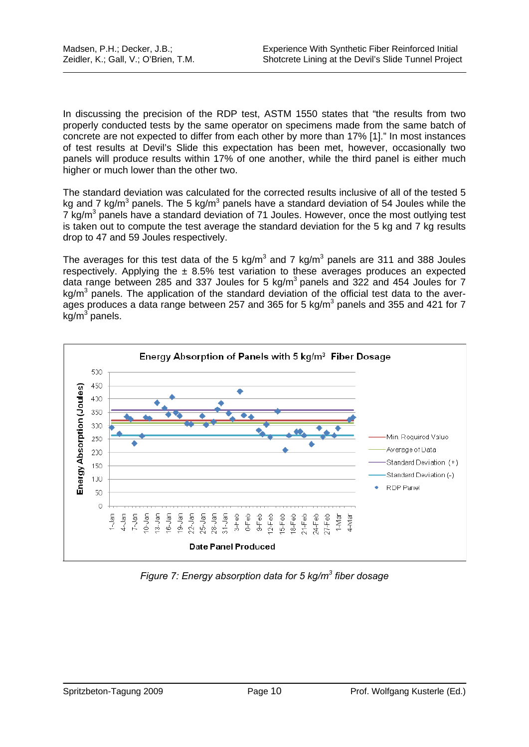In discussing the precision of the RDP test, ASTM 1550 states that "the results from two properly conducted tests by the same operator on specimens made from the same batch of concrete are not expected to differ from each other by more than 17% [1]." In most instances of test results at Devil's Slide this expectation has been met, however, occasionally two panels will produce results within 17% of one another, while the third panel is either much higher or much lower than the other two.

The standard deviation was calculated for the corrected results inclusive of all of the tested 5 kg and 7 kg/m<sup>3</sup> panels. The 5 kg/m<sup>3</sup> panels have a standard deviation of 54 Joules while the  $7 \text{ kg/m}^3$  panels have a standard deviation of 71 Joules. However, once the most outlying test is taken out to compute the test average the standard deviation for the 5 kg and 7 kg results drop to 47 and 59 Joules respectively.

The averages for this test data of the 5 kg/m<sup>3</sup> and 7 kg/m<sup>3</sup> panels are 311 and 388 Joules respectively. Applying the  $\pm$  8.5% test variation to these averages produces an expected data range between 285 and 337 Joules for 5 kg/m<sup>3</sup> panels and 322 and 454 Joules for 7 kg/m<sup>3</sup> panels. The application of the standard deviation of the official test data to the averages produces a data range between 257 and 365 for 5 kg/m<sup>3</sup> panels and 355 and 421 for 7  $kg/m<sup>3</sup>$  panels.



*Figure 7: Energy absorption data for 5 kg/m3 fiber dosage*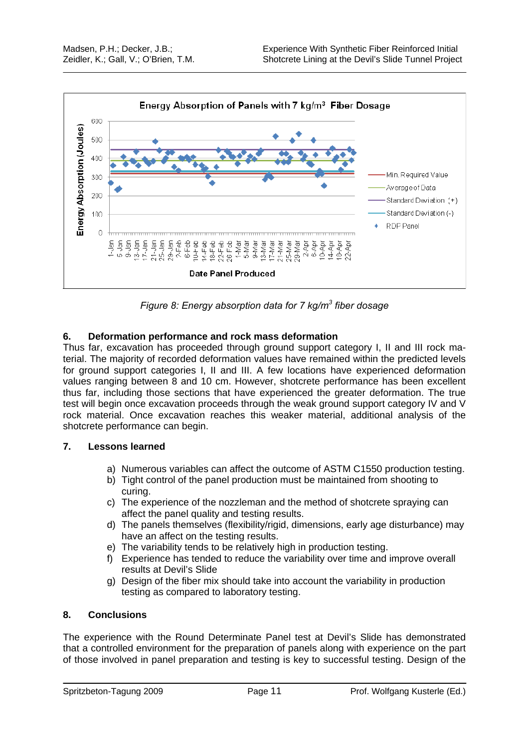

*Figure 8: Energy absorption data for 7 kg/m3 fiber dosage* 

# **6. Deformation performance and rock mass deformation**

Thus far, excavation has proceeded through ground support category I, II and III rock material. The majority of recorded deformation values have remained within the predicted levels for ground support categories I, II and III. A few locations have experienced deformation values ranging between 8 and 10 cm. However, shotcrete performance has been excellent thus far, including those sections that have experienced the greater deformation. The true test will begin once excavation proceeds through the weak ground support category IV and V rock material. Once excavation reaches this weaker material, additional analysis of the shotcrete performance can begin.

# **7. Lessons learned**

- a) Numerous variables can affect the outcome of ASTM C1550 production testing.
- b) Tight control of the panel production must be maintained from shooting to curing.
- c) The experience of the nozzleman and the method of shotcrete spraying can affect the panel quality and testing results.
- d) The panels themselves (flexibility/rigid, dimensions, early age disturbance) may have an affect on the testing results.
- e) The variability tends to be relatively high in production testing.
- f) Experience has tended to reduce the variability over time and improve overall results at Devil's Slide
- g) Design of the fiber mix should take into account the variability in production testing as compared to laboratory testing.

# **8. Conclusions**

The experience with the Round Determinate Panel test at Devil's Slide has demonstrated that a controlled environment for the preparation of panels along with experience on the part of those involved in panel preparation and testing is key to successful testing. Design of the